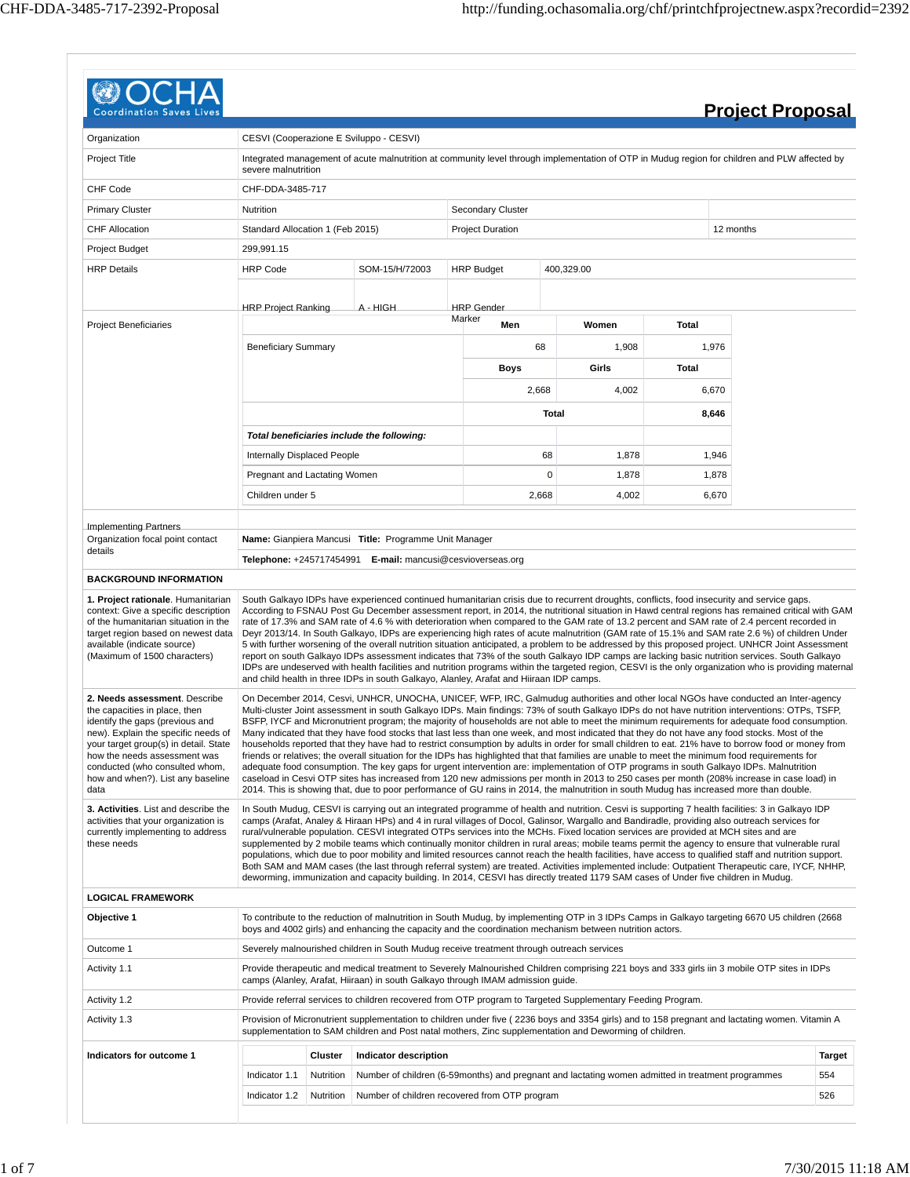| <b>Coordination Saves</b>                                                                                                                                                                                                                                                                        |                                                                                           |                                                                                                                                                                                                                 |                                                                                         |                             |       |                                                                                                                                                                                                                                                                            |       | <b>Project Proposal</b>                                                                                                                                                                                                                                                                                                                                                                                                                                                                                                                                                                                                                                                                                                                                                                                                                                                                                                                                                                                                                                                                                                                                                                                                                                                                                                                |                      |  |  |  |
|--------------------------------------------------------------------------------------------------------------------------------------------------------------------------------------------------------------------------------------------------------------------------------------------------|-------------------------------------------------------------------------------------------|-----------------------------------------------------------------------------------------------------------------------------------------------------------------------------------------------------------------|-----------------------------------------------------------------------------------------|-----------------------------|-------|----------------------------------------------------------------------------------------------------------------------------------------------------------------------------------------------------------------------------------------------------------------------------|-------|----------------------------------------------------------------------------------------------------------------------------------------------------------------------------------------------------------------------------------------------------------------------------------------------------------------------------------------------------------------------------------------------------------------------------------------------------------------------------------------------------------------------------------------------------------------------------------------------------------------------------------------------------------------------------------------------------------------------------------------------------------------------------------------------------------------------------------------------------------------------------------------------------------------------------------------------------------------------------------------------------------------------------------------------------------------------------------------------------------------------------------------------------------------------------------------------------------------------------------------------------------------------------------------------------------------------------------------|----------------------|--|--|--|
| Organization                                                                                                                                                                                                                                                                                     |                                                                                           |                                                                                                                                                                                                                 |                                                                                         |                             |       |                                                                                                                                                                                                                                                                            |       |                                                                                                                                                                                                                                                                                                                                                                                                                                                                                                                                                                                                                                                                                                                                                                                                                                                                                                                                                                                                                                                                                                                                                                                                                                                                                                                                        |                      |  |  |  |
| <b>Project Title</b>                                                                                                                                                                                                                                                                             |                                                                                           | CESVI (Cooperazione E Sviluppo - CESVI)<br>Integrated management of acute malnutrition at community level through implementation of OTP in Mudug region for children and PLW affected by<br>severe malnutrition |                                                                                         |                             |       |                                                                                                                                                                                                                                                                            |       |                                                                                                                                                                                                                                                                                                                                                                                                                                                                                                                                                                                                                                                                                                                                                                                                                                                                                                                                                                                                                                                                                                                                                                                                                                                                                                                                        |                      |  |  |  |
| <b>CHF Code</b>                                                                                                                                                                                                                                                                                  | CHF-DDA-3485-717                                                                          |                                                                                                                                                                                                                 |                                                                                         |                             |       |                                                                                                                                                                                                                                                                            |       |                                                                                                                                                                                                                                                                                                                                                                                                                                                                                                                                                                                                                                                                                                                                                                                                                                                                                                                                                                                                                                                                                                                                                                                                                                                                                                                                        |                      |  |  |  |
| <b>Primary Cluster</b>                                                                                                                                                                                                                                                                           | Nutrition                                                                                 | Secondary Cluster                                                                                                                                                                                               |                                                                                         |                             |       |                                                                                                                                                                                                                                                                            |       |                                                                                                                                                                                                                                                                                                                                                                                                                                                                                                                                                                                                                                                                                                                                                                                                                                                                                                                                                                                                                                                                                                                                                                                                                                                                                                                                        |                      |  |  |  |
| <b>CHF Allocation</b>                                                                                                                                                                                                                                                                            | Standard Allocation 1 (Feb 2015)                                                          |                                                                                                                                                                                                                 |                                                                                         | <b>Project Duration</b>     |       |                                                                                                                                                                                                                                                                            |       | 12 months                                                                                                                                                                                                                                                                                                                                                                                                                                                                                                                                                                                                                                                                                                                                                                                                                                                                                                                                                                                                                                                                                                                                                                                                                                                                                                                              |                      |  |  |  |
| Project Budget                                                                                                                                                                                                                                                                                   | 299,991.15                                                                                |                                                                                                                                                                                                                 |                                                                                         |                             |       |                                                                                                                                                                                                                                                                            |       |                                                                                                                                                                                                                                                                                                                                                                                                                                                                                                                                                                                                                                                                                                                                                                                                                                                                                                                                                                                                                                                                                                                                                                                                                                                                                                                                        |                      |  |  |  |
| <b>HRP Details</b>                                                                                                                                                                                                                                                                               | <b>HRP Code</b>                                                                           |                                                                                                                                                                                                                 | SOM-15/H/72003                                                                          | <b>HRP Budget</b>           |       | 400,329.00                                                                                                                                                                                                                                                                 |       |                                                                                                                                                                                                                                                                                                                                                                                                                                                                                                                                                                                                                                                                                                                                                                                                                                                                                                                                                                                                                                                                                                                                                                                                                                                                                                                                        |                      |  |  |  |
|                                                                                                                                                                                                                                                                                                  | <b>HRP Project Ranking</b>                                                                |                                                                                                                                                                                                                 | A - HIGH                                                                                | <b>HRP</b> Gender<br>Marker |       |                                                                                                                                                                                                                                                                            |       |                                                                                                                                                                                                                                                                                                                                                                                                                                                                                                                                                                                                                                                                                                                                                                                                                                                                                                                                                                                                                                                                                                                                                                                                                                                                                                                                        |                      |  |  |  |
| <b>Project Beneficiaries</b>                                                                                                                                                                                                                                                                     |                                                                                           |                                                                                                                                                                                                                 |                                                                                         | Men                         |       | Women                                                                                                                                                                                                                                                                      | Total |                                                                                                                                                                                                                                                                                                                                                                                                                                                                                                                                                                                                                                                                                                                                                                                                                                                                                                                                                                                                                                                                                                                                                                                                                                                                                                                                        |                      |  |  |  |
|                                                                                                                                                                                                                                                                                                  | <b>Beneficiary Summary</b>                                                                |                                                                                                                                                                                                                 |                                                                                         |                             | 68    | 1,908                                                                                                                                                                                                                                                                      |       | 1,976                                                                                                                                                                                                                                                                                                                                                                                                                                                                                                                                                                                                                                                                                                                                                                                                                                                                                                                                                                                                                                                                                                                                                                                                                                                                                                                                  |                      |  |  |  |
|                                                                                                                                                                                                                                                                                                  |                                                                                           |                                                                                                                                                                                                                 |                                                                                         | <b>Boys</b>                 |       | Girls                                                                                                                                                                                                                                                                      | Total |                                                                                                                                                                                                                                                                                                                                                                                                                                                                                                                                                                                                                                                                                                                                                                                                                                                                                                                                                                                                                                                                                                                                                                                                                                                                                                                                        |                      |  |  |  |
|                                                                                                                                                                                                                                                                                                  |                                                                                           |                                                                                                                                                                                                                 |                                                                                         |                             | 2,668 | 4,002                                                                                                                                                                                                                                                                      |       | 6,670                                                                                                                                                                                                                                                                                                                                                                                                                                                                                                                                                                                                                                                                                                                                                                                                                                                                                                                                                                                                                                                                                                                                                                                                                                                                                                                                  |                      |  |  |  |
|                                                                                                                                                                                                                                                                                                  |                                                                                           |                                                                                                                                                                                                                 |                                                                                         |                             | Total |                                                                                                                                                                                                                                                                            |       | 8,646                                                                                                                                                                                                                                                                                                                                                                                                                                                                                                                                                                                                                                                                                                                                                                                                                                                                                                                                                                                                                                                                                                                                                                                                                                                                                                                                  |                      |  |  |  |
|                                                                                                                                                                                                                                                                                                  |                                                                                           |                                                                                                                                                                                                                 | Total beneficiaries include the following:                                              |                             |       |                                                                                                                                                                                                                                                                            |       |                                                                                                                                                                                                                                                                                                                                                                                                                                                                                                                                                                                                                                                                                                                                                                                                                                                                                                                                                                                                                                                                                                                                                                                                                                                                                                                                        |                      |  |  |  |
|                                                                                                                                                                                                                                                                                                  | Internally Displaced People                                                               |                                                                                                                                                                                                                 |                                                                                         |                             | 68    | 1,878                                                                                                                                                                                                                                                                      |       | 1,946                                                                                                                                                                                                                                                                                                                                                                                                                                                                                                                                                                                                                                                                                                                                                                                                                                                                                                                                                                                                                                                                                                                                                                                                                                                                                                                                  |                      |  |  |  |
|                                                                                                                                                                                                                                                                                                  | Pregnant and Lactating Women                                                              |                                                                                                                                                                                                                 |                                                                                         |                             | 0     | 1,878                                                                                                                                                                                                                                                                      |       | 1,878                                                                                                                                                                                                                                                                                                                                                                                                                                                                                                                                                                                                                                                                                                                                                                                                                                                                                                                                                                                                                                                                                                                                                                                                                                                                                                                                  |                      |  |  |  |
|                                                                                                                                                                                                                                                                                                  | Children under 5                                                                          |                                                                                                                                                                                                                 |                                                                                         |                             | 2,668 | 4,002                                                                                                                                                                                                                                                                      | 6,670 |                                                                                                                                                                                                                                                                                                                                                                                                                                                                                                                                                                                                                                                                                                                                                                                                                                                                                                                                                                                                                                                                                                                                                                                                                                                                                                                                        |                      |  |  |  |
| Implementing Partners                                                                                                                                                                                                                                                                            |                                                                                           |                                                                                                                                                                                                                 |                                                                                         |                             |       |                                                                                                                                                                                                                                                                            |       |                                                                                                                                                                                                                                                                                                                                                                                                                                                                                                                                                                                                                                                                                                                                                                                                                                                                                                                                                                                                                                                                                                                                                                                                                                                                                                                                        |                      |  |  |  |
| Organization focal point contact<br>details                                                                                                                                                                                                                                                      |                                                                                           |                                                                                                                                                                                                                 | Name: Gianpiera Mancusi Title: Programme Unit Manager                                   |                             |       |                                                                                                                                                                                                                                                                            |       |                                                                                                                                                                                                                                                                                                                                                                                                                                                                                                                                                                                                                                                                                                                                                                                                                                                                                                                                                                                                                                                                                                                                                                                                                                                                                                                                        |                      |  |  |  |
|                                                                                                                                                                                                                                                                                                  |                                                                                           |                                                                                                                                                                                                                 | Telephone: +245717454991 E-mail: mancusi@cesvioverseas.org                              |                             |       |                                                                                                                                                                                                                                                                            |       |                                                                                                                                                                                                                                                                                                                                                                                                                                                                                                                                                                                                                                                                                                                                                                                                                                                                                                                                                                                                                                                                                                                                                                                                                                                                                                                                        |                      |  |  |  |
| <b>BACKGROUND INFORMATION</b>                                                                                                                                                                                                                                                                    |                                                                                           |                                                                                                                                                                                                                 |                                                                                         |                             |       |                                                                                                                                                                                                                                                                            |       |                                                                                                                                                                                                                                                                                                                                                                                                                                                                                                                                                                                                                                                                                                                                                                                                                                                                                                                                                                                                                                                                                                                                                                                                                                                                                                                                        |                      |  |  |  |
| 1. Project rationale. Humanitarian<br>context: Give a specific description<br>of the humanitarian situation in the<br>target region based on newest data<br>available (indicate source)<br>(Maximum of 1500 characters)                                                                          |                                                                                           |                                                                                                                                                                                                                 | and child health in three IDPs in south Galkayo, Alanley, Arafat and Hiiraan IDP camps. |                             |       |                                                                                                                                                                                                                                                                            |       | South Galkayo IDPs have experienced continued humanitarian crisis due to recurrent droughts, conflicts, food insecurity and service gaps.<br>According to FSNAU Post Gu December assessment report, in 2014, the nutritional situation in Hawd central regions has remained critical with GAM<br>rate of 17.3% and SAM rate of 4.6 % with deterioration when compared to the GAM rate of 13.2 percent and SAM rate of 2.4 percent recorded in<br>Deyr 2013/14. In South Galkayo, IDPs are experiencing high rates of acute malnutrition (GAM rate of 15.1% and SAM rate 2.6 %) of children Under<br>5 with further worsening of the overall nutrition situation anticipated, a problem to be addressed by this proposed project. UNHCR Joint Assessment<br>report on south Galkayo IDPs assessment indicates that 73% of the south Galkayo IDP camps are lacking basic nutrition services. South Galkayo<br>IDPs are undeserved with health facilities and nutrition programs within the targeted region, CESVI is the only organization who is providing maternal                                                                                                                                                                                                                                                                     |                      |  |  |  |
| 2. Needs assessment. Describe<br>the capacities in place, then<br>identify the gaps (previous and<br>new). Explain the specific needs of<br>your target group(s) in detail. State<br>how the needs assessment was<br>conducted (who consulted whom,<br>how and when?). List any baseline<br>data |                                                                                           |                                                                                                                                                                                                                 |                                                                                         |                             |       |                                                                                                                                                                                                                                                                            |       | On December 2014, Cesvi, UNHCR, UNOCHA, UNICEF, WFP, IRC, Galmudug authorities and other local NGOs have conducted an Inter-agency<br>Multi-cluster Joint assessment in south Galkayo IDPs. Main findings: 73% of south Galkayo IDPs do not have nutrition interventions: OTPs, TSFP,<br>BSFP, IYCF and Micronutrient program; the majority of households are not able to meet the minimum requirements for adequate food consumption.<br>Many indicated that they have food stocks that last less than one week, and most indicated that they do not have any food stocks. Most of the<br>households reported that they have had to restrict consumption by adults in order for small children to eat. 21% have to borrow food or money from<br>friends or relatives; the overall situation for the IDPs has highlighted that that families are unable to meet the minimum food requirements for<br>adequate food consumption. The key gaps for urgent intervention are: implementation of OTP programs in south Galkayo IDPs. Malnutrition<br>caseload in Cesvi OTP sites has increased from 120 new admissions per month in 2013 to 250 cases per month (208% increase in case load) in<br>2014. This is showing that, due to poor performance of GU rains in 2014, the malnutrition in south Mudug has increased more than double. |                      |  |  |  |
| 3. Activities. List and describe the<br>activities that your organization is<br>currently implementing to address<br>these needs                                                                                                                                                                 |                                                                                           |                                                                                                                                                                                                                 |                                                                                         |                             |       | rural/vulnerable population. CESVI integrated OTPs services into the MCHs. Fixed location services are provided at MCH sites and are<br>deworming, immunization and capacity building. In 2014, CESVI has directly treated 1179 SAM cases of Under five children in Mudug. |       | In South Muduq, CESVI is carrying out an integrated programme of health and nutrition. Cesvi is supporting 7 health facilities: 3 in Galkayo IDP<br>camps (Arafat, Analey & Hiraan HPs) and 4 in rural villages of Docol, Galinsor, Wargallo and Bandiradle, providing also outreach services for<br>supplemented by 2 mobile teams which continually monitor children in rural areas; mobile teams permit the agency to ensure that vulnerable rural<br>populations, which due to poor mobility and limited resources cannot reach the health facilities, have access to qualified staff and nutrition support.<br>Both SAM and MAM cases (the last through referral system) are treated. Activities implemented include: Outpatient Therapeutic care, IYCF, NHHP,                                                                                                                                                                                                                                                                                                                                                                                                                                                                                                                                                                    |                      |  |  |  |
| <b>LOGICAL FRAMEWORK</b>                                                                                                                                                                                                                                                                         |                                                                                           |                                                                                                                                                                                                                 |                                                                                         |                             |       |                                                                                                                                                                                                                                                                            |       |                                                                                                                                                                                                                                                                                                                                                                                                                                                                                                                                                                                                                                                                                                                                                                                                                                                                                                                                                                                                                                                                                                                                                                                                                                                                                                                                        |                      |  |  |  |
| Objective 1                                                                                                                                                                                                                                                                                      |                                                                                           |                                                                                                                                                                                                                 |                                                                                         |                             |       | boys and 4002 girls) and enhancing the capacity and the coordination mechanism between nutrition actors.                                                                                                                                                                   |       | To contribute to the reduction of malnutrition in South Mudug, by implementing OTP in 3 IDPs Camps in Galkayo targeting 6670 U5 children (2668                                                                                                                                                                                                                                                                                                                                                                                                                                                                                                                                                                                                                                                                                                                                                                                                                                                                                                                                                                                                                                                                                                                                                                                         |                      |  |  |  |
| Outcome 1                                                                                                                                                                                                                                                                                        | Severely malnourished children in South Mudug receive treatment through outreach services |                                                                                                                                                                                                                 |                                                                                         |                             |       |                                                                                                                                                                                                                                                                            |       |                                                                                                                                                                                                                                                                                                                                                                                                                                                                                                                                                                                                                                                                                                                                                                                                                                                                                                                                                                                                                                                                                                                                                                                                                                                                                                                                        |                      |  |  |  |
| Activity 1.1                                                                                                                                                                                                                                                                                     |                                                                                           |                                                                                                                                                                                                                 | camps (Alanley, Arafat, Hiiraan) in south Galkayo through IMAM admission guide.         |                             |       |                                                                                                                                                                                                                                                                            |       | Provide therapeutic and medical treatment to Severely Malnourished Children comprising 221 boys and 333 girls iin 3 mobile OTP sites in IDPs                                                                                                                                                                                                                                                                                                                                                                                                                                                                                                                                                                                                                                                                                                                                                                                                                                                                                                                                                                                                                                                                                                                                                                                           |                      |  |  |  |
| Activity 1.2                                                                                                                                                                                                                                                                                     |                                                                                           |                                                                                                                                                                                                                 |                                                                                         |                             |       | Provide referral services to children recovered from OTP program to Targeted Supplementary Feeding Program.                                                                                                                                                                |       |                                                                                                                                                                                                                                                                                                                                                                                                                                                                                                                                                                                                                                                                                                                                                                                                                                                                                                                                                                                                                                                                                                                                                                                                                                                                                                                                        |                      |  |  |  |
| Activity 1.3                                                                                                                                                                                                                                                                                     |                                                                                           |                                                                                                                                                                                                                 |                                                                                         |                             |       | supplementation to SAM children and Post natal mothers, Zinc supplementation and Deworming of children.                                                                                                                                                                    |       | Provision of Micronutrient supplementation to children under five (2236 boys and 3354 girls) and to 158 pregnant and lactating women. Vitamin A                                                                                                                                                                                                                                                                                                                                                                                                                                                                                                                                                                                                                                                                                                                                                                                                                                                                                                                                                                                                                                                                                                                                                                                        |                      |  |  |  |
| Indicators for outcome 1                                                                                                                                                                                                                                                                         | Cluster<br>Indicator description                                                          |                                                                                                                                                                                                                 |                                                                                         |                             |       |                                                                                                                                                                                                                                                                            |       |                                                                                                                                                                                                                                                                                                                                                                                                                                                                                                                                                                                                                                                                                                                                                                                                                                                                                                                                                                                                                                                                                                                                                                                                                                                                                                                                        |                      |  |  |  |
|                                                                                                                                                                                                                                                                                                  | Indicator 1.1                                                                             | Nutrition                                                                                                                                                                                                       |                                                                                         |                             |       | Number of children (6-59 months) and pregnant and lactating women admitted in treatment programmes                                                                                                                                                                         |       |                                                                                                                                                                                                                                                                                                                                                                                                                                                                                                                                                                                                                                                                                                                                                                                                                                                                                                                                                                                                                                                                                                                                                                                                                                                                                                                                        | <b>Target</b><br>554 |  |  |  |
|                                                                                                                                                                                                                                                                                                  | Indicator 1.2<br>Nutrition<br>Number of children recovered from OTP program               |                                                                                                                                                                                                                 |                                                                                         |                             |       |                                                                                                                                                                                                                                                                            |       |                                                                                                                                                                                                                                                                                                                                                                                                                                                                                                                                                                                                                                                                                                                                                                                                                                                                                                                                                                                                                                                                                                                                                                                                                                                                                                                                        | 526                  |  |  |  |
|                                                                                                                                                                                                                                                                                                  |                                                                                           |                                                                                                                                                                                                                 |                                                                                         |                             |       |                                                                                                                                                                                                                                                                            |       |                                                                                                                                                                                                                                                                                                                                                                                                                                                                                                                                                                                                                                                                                                                                                                                                                                                                                                                                                                                                                                                                                                                                                                                                                                                                                                                                        |                      |  |  |  |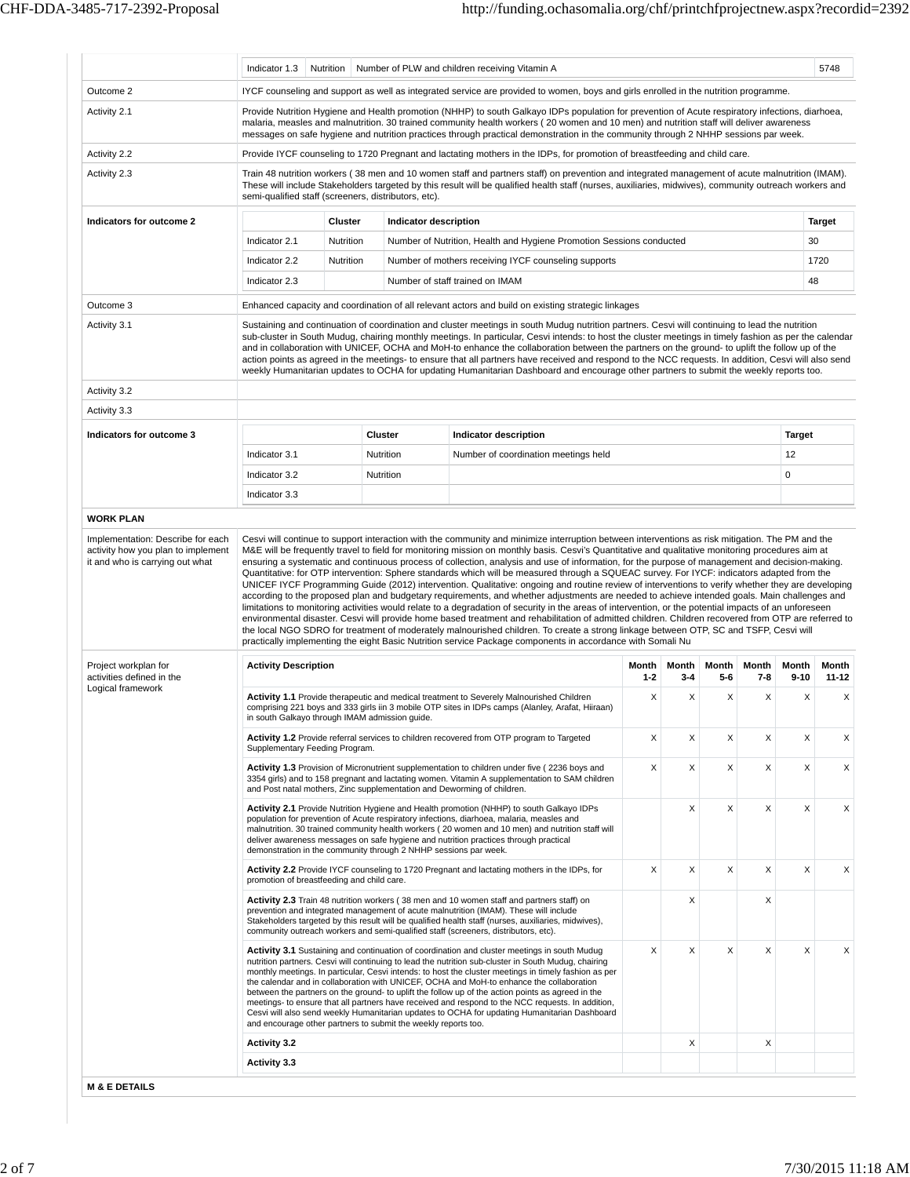|                                                                                                            | Indicator 1.3                                                                                                                                                                                                                                                                                                                                                                                                                      | Nutrition |                | Number of PLW and children receiving Vitamin A                                                                                                                                                                                                                                                                                                                                                                                                                                                                                                                                                                                                                                                                                                                                                                                                                                                              |                  |                  |              |              |                   | 5748                                         |  |  |  |
|------------------------------------------------------------------------------------------------------------|------------------------------------------------------------------------------------------------------------------------------------------------------------------------------------------------------------------------------------------------------------------------------------------------------------------------------------------------------------------------------------------------------------------------------------|-----------|----------------|-------------------------------------------------------------------------------------------------------------------------------------------------------------------------------------------------------------------------------------------------------------------------------------------------------------------------------------------------------------------------------------------------------------------------------------------------------------------------------------------------------------------------------------------------------------------------------------------------------------------------------------------------------------------------------------------------------------------------------------------------------------------------------------------------------------------------------------------------------------------------------------------------------------|------------------|------------------|--------------|--------------|-------------------|----------------------------------------------|--|--|--|
| Outcome 2                                                                                                  | IYCF counseling and support as well as integrated service are provided to women, boys and girls enrolled in the nutrition programme.                                                                                                                                                                                                                                                                                               |           |                |                                                                                                                                                                                                                                                                                                                                                                                                                                                                                                                                                                                                                                                                                                                                                                                                                                                                                                             |                  |                  |              |              |                   |                                              |  |  |  |
| Activity 2.1                                                                                               | Provide Nutrition Hygiene and Health promotion (NHHP) to south Galkayo IDPs population for prevention of Acute respiratory infections, diarhoea,<br>malaria, measles and malnutrition. 30 trained community health workers (20 women and 10 men) and nutrition staff will deliver awareness<br>messages on safe hygiene and nutrition practices through practical demonstration in the community through 2 NHHP sessions par week. |           |                |                                                                                                                                                                                                                                                                                                                                                                                                                                                                                                                                                                                                                                                                                                                                                                                                                                                                                                             |                  |                  |              |              |                   |                                              |  |  |  |
| Activity 2.2                                                                                               | Provide IYCF counseling to 1720 Pregnant and lactating mothers in the IDPs, for promotion of breastfeeding and child care.                                                                                                                                                                                                                                                                                                         |           |                |                                                                                                                                                                                                                                                                                                                                                                                                                                                                                                                                                                                                                                                                                                                                                                                                                                                                                                             |                  |                  |              |              |                   |                                              |  |  |  |
| Activity 2.3                                                                                               | Train 48 nutrition workers (38 men and 10 women staff and partners staff) on prevention and integrated management of acute malnutrition (IMAM).<br>These will include Stakeholders targeted by this result will be qualified health staff (nurses, auxiliaries, midwives), community outreach workers and<br>semi-qualified staff (screeners, distributors, etc).                                                                  |           |                |                                                                                                                                                                                                                                                                                                                                                                                                                                                                                                                                                                                                                                                                                                                                                                                                                                                                                                             |                  |                  |              |              |                   |                                              |  |  |  |
| Indicators for outcome 2                                                                                   | Cluster<br>Indicator description                                                                                                                                                                                                                                                                                                                                                                                                   |           |                |                                                                                                                                                                                                                                                                                                                                                                                                                                                                                                                                                                                                                                                                                                                                                                                                                                                                                                             |                  |                  |              |              |                   |                                              |  |  |  |
|                                                                                                            | Indicator 2.1                                                                                                                                                                                                                                                                                                                                                                                                                      | Nutrition |                | Number of Nutrition, Health and Hygiene Promotion Sessions conducted                                                                                                                                                                                                                                                                                                                                                                                                                                                                                                                                                                                                                                                                                                                                                                                                                                        |                  |                  |              |              | 30                |                                              |  |  |  |
|                                                                                                            | Indicator 2.2                                                                                                                                                                                                                                                                                                                                                                                                                      | Nutrition |                | Number of mothers receiving IYCF counseling supports                                                                                                                                                                                                                                                                                                                                                                                                                                                                                                                                                                                                                                                                                                                                                                                                                                                        |                  |                  |              |              |                   | 1720                                         |  |  |  |
|                                                                                                            | Indicator 2.3                                                                                                                                                                                                                                                                                                                                                                                                                      |           |                | Number of staff trained on IMAM                                                                                                                                                                                                                                                                                                                                                                                                                                                                                                                                                                                                                                                                                                                                                                                                                                                                             |                  |                  |              |              | 48                |                                              |  |  |  |
| Outcome 3                                                                                                  |                                                                                                                                                                                                                                                                                                                                                                                                                                    |           |                | Enhanced capacity and coordination of all relevant actors and build on existing strategic linkages                                                                                                                                                                                                                                                                                                                                                                                                                                                                                                                                                                                                                                                                                                                                                                                                          |                  |                  |              |              |                   |                                              |  |  |  |
| Activity 3.1                                                                                               |                                                                                                                                                                                                                                                                                                                                                                                                                                    |           |                | Sustaining and continuation of coordination and cluster meetings in south Mudug nutrition partners. Cesvi will continuing to lead the nutrition<br>sub-cluster in South Mudug, chairing monthly meetings. In particular, Cesvi intends: to host the cluster meetings in timely fashion as per the calendar<br>and in collaboration with UNICEF, OCHA and MoH-to enhance the collaboration between the partners on the ground- to uplift the follow up of the<br>action points as agreed in the meetings- to ensure that all partners have received and respond to the NCC requests. In addition, Cesvi will also send<br>weekly Humanitarian updates to OCHA for updating Humanitarian Dashboard and encourage other partners to submit the weekly reports too.                                                                                                                                             |                  |                  |              |              |                   |                                              |  |  |  |
| Activity 3.2                                                                                               |                                                                                                                                                                                                                                                                                                                                                                                                                                    |           |                |                                                                                                                                                                                                                                                                                                                                                                                                                                                                                                                                                                                                                                                                                                                                                                                                                                                                                                             |                  |                  |              |              |                   |                                              |  |  |  |
| Activity 3.3                                                                                               |                                                                                                                                                                                                                                                                                                                                                                                                                                    |           |                |                                                                                                                                                                                                                                                                                                                                                                                                                                                                                                                                                                                                                                                                                                                                                                                                                                                                                                             |                  |                  |              |              |                   |                                              |  |  |  |
| Indicators for outcome 3                                                                                   |                                                                                                                                                                                                                                                                                                                                                                                                                                    |           | <b>Cluster</b> | Indicator description                                                                                                                                                                                                                                                                                                                                                                                                                                                                                                                                                                                                                                                                                                                                                                                                                                                                                       |                  |                  |              |              | <b>Target</b>     |                                              |  |  |  |
|                                                                                                            | Indicator 3.1                                                                                                                                                                                                                                                                                                                                                                                                                      |           | Nutrition      | Number of coordination meetings held                                                                                                                                                                                                                                                                                                                                                                                                                                                                                                                                                                                                                                                                                                                                                                                                                                                                        |                  |                  |              |              | 12                |                                              |  |  |  |
|                                                                                                            | Indicator 3.2                                                                                                                                                                                                                                                                                                                                                                                                                      |           | Nutrition      |                                                                                                                                                                                                                                                                                                                                                                                                                                                                                                                                                                                                                                                                                                                                                                                                                                                                                                             |                  |                  |              |              | 0                 |                                              |  |  |  |
|                                                                                                            | Indicator 3.3                                                                                                                                                                                                                                                                                                                                                                                                                      |           |                |                                                                                                                                                                                                                                                                                                                                                                                                                                                                                                                                                                                                                                                                                                                                                                                                                                                                                                             |                  |                  |              |              |                   |                                              |  |  |  |
|                                                                                                            |                                                                                                                                                                                                                                                                                                                                                                                                                                    |           |                |                                                                                                                                                                                                                                                                                                                                                                                                                                                                                                                                                                                                                                                                                                                                                                                                                                                                                                             |                  |                  |              |              |                   |                                              |  |  |  |
| <b>WORK PLAN</b>                                                                                           |                                                                                                                                                                                                                                                                                                                                                                                                                                    |           |                | Cesvi will continue to support interaction with the community and minimize interruption between interventions as risk mitigation. The PM and the<br>M&E will be frequently travel to field for monitoring mission on monthly basis. Cesvi's Quantitative and qualitative monitoring procedures aim at<br>ensuring a systematic and continuous process of collection, analysis and use of information, for the purpose of management and decision-making.<br>Quantitative: for OTP intervention: Sphere standards which will be measured through a SQUEAC survey. For IYCF: indicators adapted from the<br>UNICEF IYCF Programming Guide (2012) intervention. Qualitative: ongoing and routine review of interventions to verify whether they are developing<br>according to the proposed plan and budgetary requirements, and whether adjustments are needed to achieve intended goals. Main challenges and |                  |                  |              |              |                   |                                              |  |  |  |
| Implementation: Describe for each<br>activity how you plan to implement<br>it and who is carrying out what |                                                                                                                                                                                                                                                                                                                                                                                                                                    |           |                | limitations to monitoring activities would relate to a degradation of security in the areas of intervention, or the potential impacts of an unforeseen<br>environmental disaster. Cesvi will provide home based treatment and rehabilitation of admitted children. Children recovered from OTP are referred to<br>the local NGO SDRO for treatment of moderately malnourished children. To create a strong linkage between OTP, SC and TSFP, Cesvi will<br>practically implementing the eight Basic Nutrition service Package components in accordance with Somali Nu                                                                                                                                                                                                                                                                                                                                       |                  |                  |              |              |                   |                                              |  |  |  |
| Project workplan for<br>activities defined in the                                                          | <b>Activity Description</b>                                                                                                                                                                                                                                                                                                                                                                                                        |           |                |                                                                                                                                                                                                                                                                                                                                                                                                                                                                                                                                                                                                                                                                                                                                                                                                                                                                                                             | Month<br>$1 - 2$ | Month<br>$3 - 4$ | Month<br>5-6 | Month<br>7-8 | Month<br>$9 - 10$ |                                              |  |  |  |
|                                                                                                            | in south Galkayo through IMAM admission guide                                                                                                                                                                                                                                                                                                                                                                                      |           |                | Activity 1.1 Provide therapeutic and medical treatment to Severely Malnourished Children<br>comprising 221 boys and 333 girls iin 3 mobile OTP sites in IDPs camps (Alanley, Arafat, Hiiraan)                                                                                                                                                                                                                                                                                                                                                                                                                                                                                                                                                                                                                                                                                                               | X                | Х                | X            | Χ            | Χ                 |                                              |  |  |  |
| Logical framework                                                                                          | Supplementary Feeding Program.                                                                                                                                                                                                                                                                                                                                                                                                     |           |                | Activity 1.2 Provide referral services to children recovered from OTP program to Targeted                                                                                                                                                                                                                                                                                                                                                                                                                                                                                                                                                                                                                                                                                                                                                                                                                   | X                | X                | X            | Χ            | X                 |                                              |  |  |  |
|                                                                                                            |                                                                                                                                                                                                                                                                                                                                                                                                                                    |           |                | Activity 1.3 Provision of Micronutrient supplementation to children under five (2236 boys and<br>3354 girls) and to 158 pregnant and lactating women. Vitamin A supplementation to SAM children<br>and Post natal mothers, Zinc supplementation and Deworming of children.                                                                                                                                                                                                                                                                                                                                                                                                                                                                                                                                                                                                                                  | X                | X                | X            | X            | X                 |                                              |  |  |  |
|                                                                                                            | demonstration in the community through 2 NHHP sessions par week.                                                                                                                                                                                                                                                                                                                                                                   |           |                | Activity 2.1 Provide Nutrition Hygiene and Health promotion (NHHP) to south Galkayo IDPs<br>population for prevention of Acute respiratory infections, diarhoea, malaria, measles and<br>malnutrition. 30 trained community health workers (20 women and 10 men) and nutrition staff will<br>deliver awareness messages on safe hygiene and nutrition practices through practical                                                                                                                                                                                                                                                                                                                                                                                                                                                                                                                           |                  | X                | X            | X            | X                 |                                              |  |  |  |
|                                                                                                            | promotion of breastfeeding and child care.                                                                                                                                                                                                                                                                                                                                                                                         |           |                | Activity 2.2 Provide IYCF counseling to 1720 Pregnant and lactating mothers in the IDPs, for                                                                                                                                                                                                                                                                                                                                                                                                                                                                                                                                                                                                                                                                                                                                                                                                                | X                | X                | X            | X            | X                 |                                              |  |  |  |
|                                                                                                            |                                                                                                                                                                                                                                                                                                                                                                                                                                    |           |                | Activity 2.3 Train 48 nutrition workers (38 men and 10 women staff and partners staff) on<br>prevention and integrated management of acute malnutrition (IMAM). These will include<br>Stakeholders targeted by this result will be qualified health staff (nurses, auxiliaries, midwives),<br>community outreach workers and semi-qualified staff (screeners, distributors, etc).                                                                                                                                                                                                                                                                                                                                                                                                                                                                                                                           |                  | X                |              | Χ            |                   |                                              |  |  |  |
|                                                                                                            | and encourage other partners to submit the weekly reports too.                                                                                                                                                                                                                                                                                                                                                                     |           |                | Activity 3.1 Sustaining and continuation of coordination and cluster meetings in south Mudug<br>nutrition partners. Cesvi will continuing to lead the nutrition sub-cluster in South Mudug, chairing<br>monthly meetings. In particular, Cesvi intends: to host the cluster meetings in timely fashion as per<br>the calendar and in collaboration with UNICEF, OCHA and MoH-to enhance the collaboration<br>between the partners on the ground- to uplift the follow up of the action points as agreed in the<br>meetings- to ensure that all partners have received and respond to the NCC requests. In addition,<br>Cesvi will also send weekly Humanitarian updates to OCHA for updating Humanitarian Dashboard                                                                                                                                                                                         | X                | Х                | X            | X            | Х                 |                                              |  |  |  |
|                                                                                                            | <b>Activity 3.2</b>                                                                                                                                                                                                                                                                                                                                                                                                                |           |                |                                                                                                                                                                                                                                                                                                                                                                                                                                                                                                                                                                                                                                                                                                                                                                                                                                                                                                             |                  | X                |              | X            |                   | Month<br>11-12<br>Х<br>X<br>X<br>X<br>X<br>X |  |  |  |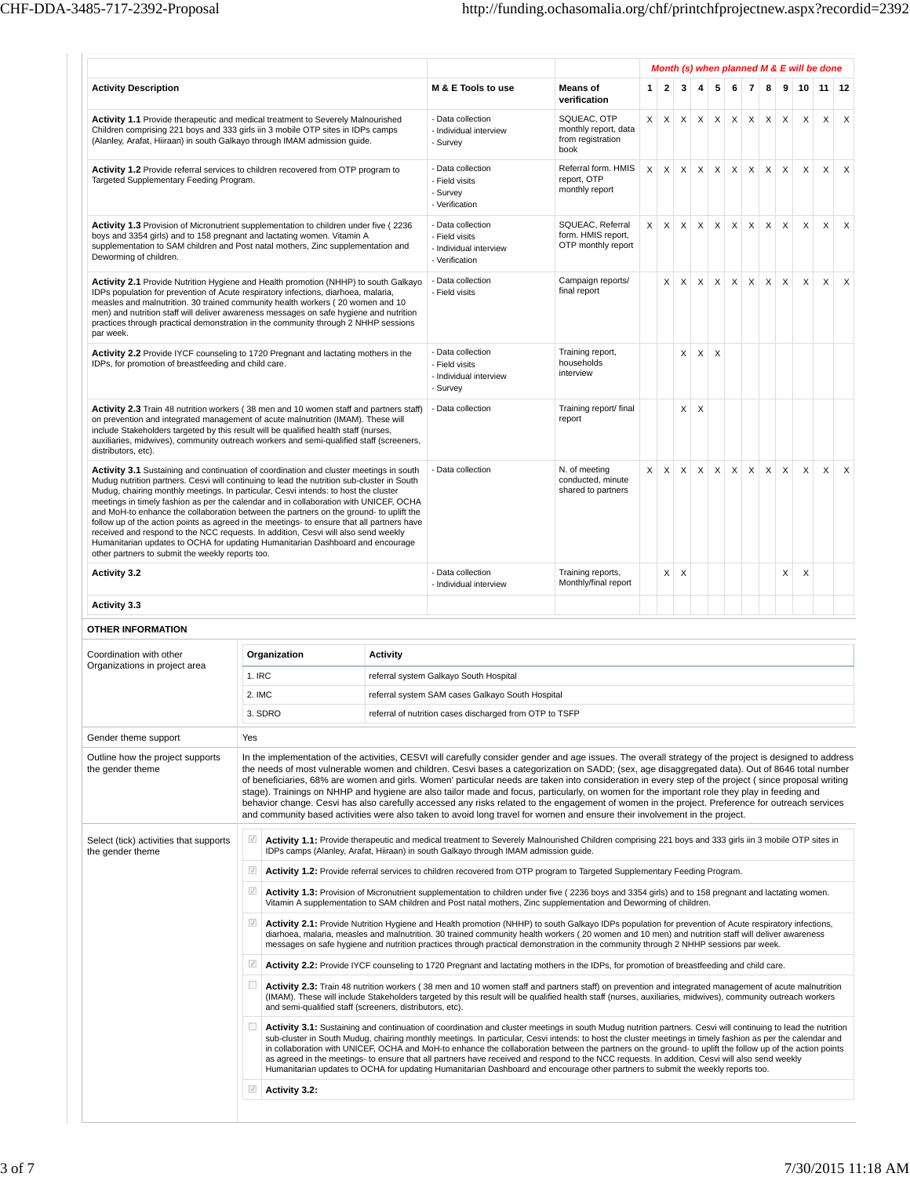$\overline{\mathbb{F}}$ 

|                                                                                                                                                                                                                                                                                                                                                                                                                                                                                                                                                                                                                                                                                                                                                                                          |                                                               |                                                                                                                                                                                                                                                                                                                                                                                                                                                                                                                                                                                                                                                                                                                                                                               |                                                                                                                                                                                                                                                                                                                                                                                                                                                                                                                                                                                                                                                                                                                                                                                                                                                                                                      | Month (s) when planned M & E will be done                    |                           |                           |                           |                           |              |                           |                           |                           |                           |                 |                           |          |  |  |  |
|------------------------------------------------------------------------------------------------------------------------------------------------------------------------------------------------------------------------------------------------------------------------------------------------------------------------------------------------------------------------------------------------------------------------------------------------------------------------------------------------------------------------------------------------------------------------------------------------------------------------------------------------------------------------------------------------------------------------------------------------------------------------------------------|---------------------------------------------------------------|-------------------------------------------------------------------------------------------------------------------------------------------------------------------------------------------------------------------------------------------------------------------------------------------------------------------------------------------------------------------------------------------------------------------------------------------------------------------------------------------------------------------------------------------------------------------------------------------------------------------------------------------------------------------------------------------------------------------------------------------------------------------------------|------------------------------------------------------------------------------------------------------------------------------------------------------------------------------------------------------------------------------------------------------------------------------------------------------------------------------------------------------------------------------------------------------------------------------------------------------------------------------------------------------------------------------------------------------------------------------------------------------------------------------------------------------------------------------------------------------------------------------------------------------------------------------------------------------------------------------------------------------------------------------------------------------|--------------------------------------------------------------|---------------------------|---------------------------|---------------------------|---------------------------|--------------|---------------------------|---------------------------|---------------------------|---------------------------|-----------------|---------------------------|----------|--|--|--|
| <b>Activity Description</b>                                                                                                                                                                                                                                                                                                                                                                                                                                                                                                                                                                                                                                                                                                                                                              |                                                               | M & E Tools to use                                                                                                                                                                                                                                                                                                                                                                                                                                                                                                                                                                                                                                                                                                                                                            | <b>Means of</b>                                                                                                                                                                                                                                                                                                                                                                                                                                                                                                                                                                                                                                                                                                                                                                                                                                                                                      | 1 <sup>1</sup>                                               | $\overline{2}$            | 3                         | 4                         | 5                         | 6            | $\overline{7}$            | 8                         | 9                         | 10 <sup>1</sup>           | 11 <sup>1</sup> | 12                        |          |  |  |  |
| Activity 1.1 Provide therapeutic and medical treatment to Severely Malnourished<br>Children comprising 221 boys and 333 girls iin 3 mobile OTP sites in IDPs camps<br>(Alanley, Arafat, Hiiraan) in south Galkayo through IMAM admission guide.                                                                                                                                                                                                                                                                                                                                                                                                                                                                                                                                          |                                                               | - Data collection<br>- Individual interview<br>- Survey                                                                                                                                                                                                                                                                                                                                                                                                                                                                                                                                                                                                                                                                                                                       | verification<br>SQUEAC, OTP<br>monthly report, data<br>from registration<br>book                                                                                                                                                                                                                                                                                                                                                                                                                                                                                                                                                                                                                                                                                                                                                                                                                     | $\times$                                                     | $\times$                  | $\boldsymbol{\mathsf{X}}$ | $\times$                  | $\mathsf{X}$              | $\times$     | $\boldsymbol{\mathsf{X}}$ | $\boldsymbol{\mathsf{X}}$ | X                         | $\mathsf{x}$              | $\times$        | $\boldsymbol{\mathsf{X}}$ |          |  |  |  |
| Activity 1.2 Provide referral services to children recovered from OTP program to<br>Targeted Supplementary Feeding Program.                                                                                                                                                                                                                                                                                                                                                                                                                                                                                                                                                                                                                                                              |                                                               | - Data collection<br>- Field visits<br>- Survey<br>- Verification                                                                                                                                                                                                                                                                                                                                                                                                                                                                                                                                                                                                                                                                                                             | Referral form. HMIS<br>report, OTP<br>monthly report                                                                                                                                                                                                                                                                                                                                                                                                                                                                                                                                                                                                                                                                                                                                                                                                                                                 | X                                                            | $\times$                  | $\boldsymbol{\mathsf{X}}$ | $\times$                  | $\times$                  | $\times$     | $\mathsf X$               | $\boldsymbol{\mathsf{X}}$ | $\times$                  | X                         | X               | $\times$                  |          |  |  |  |
| Activity 1.3 Provision of Micronutrient supplementation to children under five (2236<br>boys and 3354 girls) and to 158 pregnant and lactating women. Vitamin A<br>supplementation to SAM children and Post natal mothers, Zinc supplementation and<br>Deworming of children.                                                                                                                                                                                                                                                                                                                                                                                                                                                                                                            |                                                               |                                                                                                                                                                                                                                                                                                                                                                                                                                                                                                                                                                                                                                                                                                                                                                               | - Data collection<br>- Field visits<br>- Individual interview<br>- Verification                                                                                                                                                                                                                                                                                                                                                                                                                                                                                                                                                                                                                                                                                                                                                                                                                      | SQUEAC, Referral<br>form. HMIS report,<br>OTP monthly report | $\times$                  | $\times$                  | X                         | $\times$                  | $\mathsf{X}$ | $\mathsf{x}$              | $\mathsf X$               | $\mathsf X$               | X                         | X               | $\times$                  | X        |  |  |  |
| Activity 2.1 Provide Nutrition Hygiene and Health promotion (NHHP) to south Galkayo<br>IDPs population for prevention of Acute respiratory infections, diarhoea, malaria,<br>measles and malnutrition. 30 trained community health workers (20 women and 10<br>men) and nutrition staff will deliver awareness messages on safe hygiene and nutrition<br>practices through practical demonstration in the community through 2 NHHP sessions<br>par week.                                                                                                                                                                                                                                                                                                                                 |                                                               |                                                                                                                                                                                                                                                                                                                                                                                                                                                                                                                                                                                                                                                                                                                                                                               | - Data collection<br>- Field visits                                                                                                                                                                                                                                                                                                                                                                                                                                                                                                                                                                                                                                                                                                                                                                                                                                                                  | Campaign reports/<br>final report                            |                           | X                         | X                         | $\times$                  | $\mathsf{X}$ | $\times$                  | X                         | $\mathsf{X}$              | $\boldsymbol{\mathsf{X}}$ | $\mathsf{X}$    | X                         | $\times$ |  |  |  |
| Activity 2.2 Provide IYCF counseling to 1720 Pregnant and lactating mothers in the<br>IDPs, for promotion of breastfeeding and child care.                                                                                                                                                                                                                                                                                                                                                                                                                                                                                                                                                                                                                                               |                                                               |                                                                                                                                                                                                                                                                                                                                                                                                                                                                                                                                                                                                                                                                                                                                                                               | - Data collection<br>- Field visits<br>- Individual interview<br>- Survey                                                                                                                                                                                                                                                                                                                                                                                                                                                                                                                                                                                                                                                                                                                                                                                                                            | Training report,<br>households<br>interview                  |                           |                           | X                         | X                         | $\times$     |                           |                           |                           |                           |                 |                           |          |  |  |  |
| Activity 2.3 Train 48 nutrition workers (38 men and 10 women staff and partners staff)<br>on prevention and integrated management of acute malnutrition (IMAM). These will<br>include Stakeholders targeted by this result will be qualified health staff (nurses,<br>auxiliaries, midwives), community outreach workers and semi-qualified staff (screeners,<br>distributors, etc).                                                                                                                                                                                                                                                                                                                                                                                                     |                                                               | - Data collection                                                                                                                                                                                                                                                                                                                                                                                                                                                                                                                                                                                                                                                                                                                                                             | Training report/ final<br>report                                                                                                                                                                                                                                                                                                                                                                                                                                                                                                                                                                                                                                                                                                                                                                                                                                                                     |                                                              |                           | X                         | $\boldsymbol{\mathsf{X}}$ |                           |              |                           |                           |                           |                           |                 |                           |          |  |  |  |
| Activity 3.1 Sustaining and continuation of coordination and cluster meetings in south<br>Mudug nutrition partners. Cesvi will continuing to lead the nutrition sub-cluster in South<br>Mudug, chairing monthly meetings. In particular, Cesvi intends: to host the cluster<br>meetings in timely fashion as per the calendar and in collaboration with UNICEF, OCHA<br>and MoH-to enhance the collaboration between the partners on the ground- to uplift the<br>follow up of the action points as agreed in the meetings- to ensure that all partners have<br>received and respond to the NCC requests. In addition, Cesvi will also send weekly<br>Humanitarian updates to OCHA for updating Humanitarian Dashboard and encourage<br>other partners to submit the weekly reports too. |                                                               | - Data collection                                                                                                                                                                                                                                                                                                                                                                                                                                                                                                                                                                                                                                                                                                                                                             | N. of meeting<br>conducted, minute<br>shared to partners                                                                                                                                                                                                                                                                                                                                                                                                                                                                                                                                                                                                                                                                                                                                                                                                                                             | X                                                            | $\boldsymbol{\mathsf{X}}$ | $\mathsf X$               | $\mathsf{X}$              | $\boldsymbol{\mathsf{X}}$ | $\mathsf{X}$ | $\mathsf X$               | $\boldsymbol{\mathsf{X}}$ | $\boldsymbol{\mathsf{X}}$ | X                         | $\mathsf X$     | $\times$                  |          |  |  |  |
| <b>Activity 3.2</b>                                                                                                                                                                                                                                                                                                                                                                                                                                                                                                                                                                                                                                                                                                                                                                      |                                                               | - Data collection<br>- Individual interview                                                                                                                                                                                                                                                                                                                                                                                                                                                                                                                                                                                                                                                                                                                                   | Training reports,<br>Monthly/final report                                                                                                                                                                                                                                                                                                                                                                                                                                                                                                                                                                                                                                                                                                                                                                                                                                                            |                                                              | X                         | X                         |                           |                           |              |                           |                           | X                         | X                         |                 |                           |          |  |  |  |
| <b>Activity 3.3</b>                                                                                                                                                                                                                                                                                                                                                                                                                                                                                                                                                                                                                                                                                                                                                                      |                                                               |                                                                                                                                                                                                                                                                                                                                                                                                                                                                                                                                                                                                                                                                                                                                                                               |                                                                                                                                                                                                                                                                                                                                                                                                                                                                                                                                                                                                                                                                                                                                                                                                                                                                                                      |                                                              |                           |                           |                           |                           |              |                           |                           |                           |                           |                 |                           |          |  |  |  |
| <b>OTHER INFORMATION</b>                                                                                                                                                                                                                                                                                                                                                                                                                                                                                                                                                                                                                                                                                                                                                                 |                                                               |                                                                                                                                                                                                                                                                                                                                                                                                                                                                                                                                                                                                                                                                                                                                                                               |                                                                                                                                                                                                                                                                                                                                                                                                                                                                                                                                                                                                                                                                                                                                                                                                                                                                                                      |                                                              |                           |                           |                           |                           |              |                           |                           |                           |                           |                 |                           |          |  |  |  |
| Coordination with other<br>Organizations in project area                                                                                                                                                                                                                                                                                                                                                                                                                                                                                                                                                                                                                                                                                                                                 | Organization                                                  | <b>Activity</b>                                                                                                                                                                                                                                                                                                                                                                                                                                                                                                                                                                                                                                                                                                                                                               |                                                                                                                                                                                                                                                                                                                                                                                                                                                                                                                                                                                                                                                                                                                                                                                                                                                                                                      |                                                              |                           |                           |                           |                           |              |                           |                           |                           |                           |                 |                           |          |  |  |  |
|                                                                                                                                                                                                                                                                                                                                                                                                                                                                                                                                                                                                                                                                                                                                                                                          | 1. IRC                                                        | referral system Galkayo South Hospital                                                                                                                                                                                                                                                                                                                                                                                                                                                                                                                                                                                                                                                                                                                                        |                                                                                                                                                                                                                                                                                                                                                                                                                                                                                                                                                                                                                                                                                                                                                                                                                                                                                                      |                                                              |                           |                           |                           |                           |              |                           |                           |                           |                           |                 |                           |          |  |  |  |
|                                                                                                                                                                                                                                                                                                                                                                                                                                                                                                                                                                                                                                                                                                                                                                                          | 2. IMC                                                        |                                                                                                                                                                                                                                                                                                                                                                                                                                                                                                                                                                                                                                                                                                                                                                               | referral system SAM cases Galkayo South Hospital                                                                                                                                                                                                                                                                                                                                                                                                                                                                                                                                                                                                                                                                                                                                                                                                                                                     |                                                              |                           |                           |                           |                           |              |                           |                           |                           |                           |                 |                           |          |  |  |  |
|                                                                                                                                                                                                                                                                                                                                                                                                                                                                                                                                                                                                                                                                                                                                                                                          | 3. SDRO                                                       |                                                                                                                                                                                                                                                                                                                                                                                                                                                                                                                                                                                                                                                                                                                                                                               | referral of nutrition cases discharged from OTP to TSFP                                                                                                                                                                                                                                                                                                                                                                                                                                                                                                                                                                                                                                                                                                                                                                                                                                              |                                                              |                           |                           |                           |                           |              |                           |                           |                           |                           |                 |                           |          |  |  |  |
| Gender theme support                                                                                                                                                                                                                                                                                                                                                                                                                                                                                                                                                                                                                                                                                                                                                                     | Yes                                                           |                                                                                                                                                                                                                                                                                                                                                                                                                                                                                                                                                                                                                                                                                                                                                                               |                                                                                                                                                                                                                                                                                                                                                                                                                                                                                                                                                                                                                                                                                                                                                                                                                                                                                                      |                                                              |                           |                           |                           |                           |              |                           |                           |                           |                           |                 |                           |          |  |  |  |
| Outline how the project supports<br>the gender theme                                                                                                                                                                                                                                                                                                                                                                                                                                                                                                                                                                                                                                                                                                                                     |                                                               |                                                                                                                                                                                                                                                                                                                                                                                                                                                                                                                                                                                                                                                                                                                                                                               | In the implementation of the activities, CESVI will carefully consider gender and age issues. The overall strategy of the project is designed to address<br>the needs of most vulnerable women and children. Cesvi bases a categorization on SADD; (sex, age disaggregated data). Out of 8646 total number<br>of beneficiaries, 68% are women and girls. Women' particular needs are taken into consideration in every step of the project (since proposal writing<br>stage). Trainings on NHHP and hygiene are also tailor made and focus, particularly, on women for the important role they play in feeding and<br>behavior change. Cesvi has also carefully accessed any risks related to the engagement of women in the project. Preference for outreach services<br>and community based activities were also taken to avoid long travel for women and ensure their involvement in the project. |                                                              |                           |                           |                           |                           |              |                           |                           |                           |                           |                 |                           |          |  |  |  |
| Select (tick) activities that supports<br>the gender theme                                                                                                                                                                                                                                                                                                                                                                                                                                                                                                                                                                                                                                                                                                                               | $\sqrt{ }$                                                    |                                                                                                                                                                                                                                                                                                                                                                                                                                                                                                                                                                                                                                                                                                                                                                               | Activity 1.1: Provide therapeutic and medical treatment to Severely Malnourished Children comprising 221 boys and 333 girls iin 3 mobile OTP sites in<br>IDPs camps (Alanley, Arafat, Hiiraan) in south Galkayo through IMAM admission guide.                                                                                                                                                                                                                                                                                                                                                                                                                                                                                                                                                                                                                                                        |                                                              |                           |                           |                           |                           |              |                           |                           |                           |                           |                 |                           |          |  |  |  |
|                                                                                                                                                                                                                                                                                                                                                                                                                                                                                                                                                                                                                                                                                                                                                                                          | $\sqrt{}$                                                     |                                                                                                                                                                                                                                                                                                                                                                                                                                                                                                                                                                                                                                                                                                                                                                               | Activity 1.2: Provide referral services to children recovered from OTP program to Targeted Supplementary Feeding Program.                                                                                                                                                                                                                                                                                                                                                                                                                                                                                                                                                                                                                                                                                                                                                                            |                                                              |                           |                           |                           |                           |              |                           |                           |                           |                           |                 |                           |          |  |  |  |
|                                                                                                                                                                                                                                                                                                                                                                                                                                                                                                                                                                                                                                                                                                                                                                                          | $\sqrt{}$                                                     |                                                                                                                                                                                                                                                                                                                                                                                                                                                                                                                                                                                                                                                                                                                                                                               | Activity 1.3: Provision of Micronutrient supplementation to children under five (2236 boys and 3354 girls) and to 158 pregnant and lactating women.<br>Vitamin A supplementation to SAM children and Post natal mothers, Zinc supplementation and Deworming of children.                                                                                                                                                                                                                                                                                                                                                                                                                                                                                                                                                                                                                             |                                                              |                           |                           |                           |                           |              |                           |                           |                           |                           |                 |                           |          |  |  |  |
|                                                                                                                                                                                                                                                                                                                                                                                                                                                                                                                                                                                                                                                                                                                                                                                          | $\sqrt{ }$                                                    |                                                                                                                                                                                                                                                                                                                                                                                                                                                                                                                                                                                                                                                                                                                                                                               | Activity 2.1: Provide Nutrition Hygiene and Health promotion (NHHP) to south Galkayo IDPs population for prevention of Acute respiratory infections,<br>diarhoea, malaria, measles and malnutrition. 30 trained community health workers (20 women and 10 men) and nutrition staff will deliver awareness<br>messages on safe hygiene and nutrition practices through practical demonstration in the community through 2 NHHP sessions par week.                                                                                                                                                                                                                                                                                                                                                                                                                                                     |                                                              |                           |                           |                           |                           |              |                           |                           |                           |                           |                 |                           |          |  |  |  |
|                                                                                                                                                                                                                                                                                                                                                                                                                                                                                                                                                                                                                                                                                                                                                                                          | $\sqrt{ }$                                                    |                                                                                                                                                                                                                                                                                                                                                                                                                                                                                                                                                                                                                                                                                                                                                                               | Activity 2.2: Provide IYCF counseling to 1720 Pregnant and lactating mothers in the IDPs, for promotion of breastfeeding and child care.                                                                                                                                                                                                                                                                                                                                                                                                                                                                                                                                                                                                                                                                                                                                                             |                                                              |                           |                           |                           |                           |              |                           |                           |                           |                           |                 |                           |          |  |  |  |
|                                                                                                                                                                                                                                                                                                                                                                                                                                                                                                                                                                                                                                                                                                                                                                                          | □<br>and semi-qualified staff (screeners, distributors, etc). | Activity 2.3: Train 48 nutrition workers (38 men and 10 women staff and partners staff) on prevention and integrated management of acute malnutrition<br>(IMAM). These will include Stakeholders targeted by this result will be qualified health staff (nurses, auxiliaries, midwives), community outreach workers                                                                                                                                                                                                                                                                                                                                                                                                                                                           |                                                                                                                                                                                                                                                                                                                                                                                                                                                                                                                                                                                                                                                                                                                                                                                                                                                                                                      |                                                              |                           |                           |                           |                           |              |                           |                           |                           |                           |                 |                           |          |  |  |  |
|                                                                                                                                                                                                                                                                                                                                                                                                                                                                                                                                                                                                                                                                                                                                                                                          | □                                                             | Activity 3.1: Sustaining and continuation of coordination and cluster meetings in south Mudug nutrition partners. Cesvi will continuing to lead the nutrition<br>sub-cluster in South Mudug, chairing monthly meetings. In particular, Cesvi intends: to host the cluster meetings in timely fashion as per the calendar and<br>in collaboration with UNICEF, OCHA and MoH-to enhance the collaboration between the partners on the ground- to uplift the follow up of the action points<br>as agreed in the meetings- to ensure that all partners have received and respond to the NCC requests. In addition, Cesvi will also send weekly<br>Humanitarian updates to OCHA for updating Humanitarian Dashboard and encourage other partners to submit the weekly reports too. |                                                                                                                                                                                                                                                                                                                                                                                                                                                                                                                                                                                                                                                                                                                                                                                                                                                                                                      |                                                              |                           |                           |                           |                           |              |                           |                           |                           |                           |                 |                           |          |  |  |  |
|                                                                                                                                                                                                                                                                                                                                                                                                                                                                                                                                                                                                                                                                                                                                                                                          |                                                               |                                                                                                                                                                                                                                                                                                                                                                                                                                                                                                                                                                                                                                                                                                                                                                               |                                                                                                                                                                                                                                                                                                                                                                                                                                                                                                                                                                                                                                                                                                                                                                                                                                                                                                      |                                                              |                           |                           |                           |                           |              |                           |                           |                           |                           |                 |                           |          |  |  |  |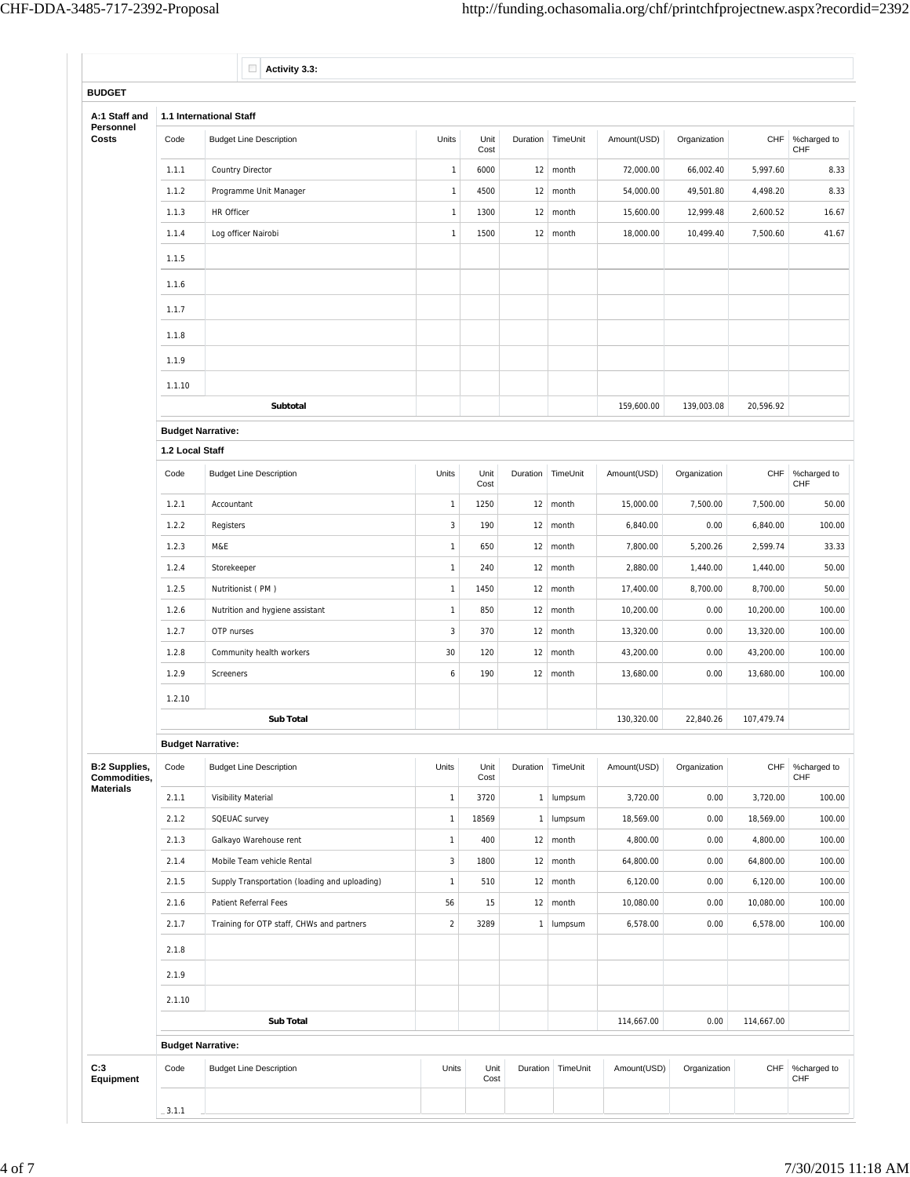|                                      |                          | $\Box$<br>Activity 3.3:                       |                |              |          |                        |             |              |            |                          |  |  |  |  |  |
|--------------------------------------|--------------------------|-----------------------------------------------|----------------|--------------|----------|------------------------|-------------|--------------|------------|--------------------------|--|--|--|--|--|
| <b>BUDGET</b>                        |                          |                                               |                |              |          |                        |             |              |            |                          |  |  |  |  |  |
| A:1 Staff and                        |                          | 1.1 International Staff                       |                |              |          |                        |             |              |            |                          |  |  |  |  |  |
| Personnel<br>Costs                   | Code                     | <b>Budget Line Description</b>                | Units          | Unit<br>Cost | Duration | TimeUnit               | Amount(USD) | Organization | CHF        | %charged to<br>CHF       |  |  |  |  |  |
|                                      | 1.1.1                    | <b>Country Director</b>                       | $\mathbf{1}$   | 6000         | 12       | month                  | 72,000.00   | 66,002.40    | 5,997.60   | 8.33                     |  |  |  |  |  |
|                                      | 1.1.2                    | Programme Unit Manager                        | $\mathbf{1}$   | 4500         | 12       | month                  | 54,000.00   | 49,501.80    | 4,498.20   | 8.33                     |  |  |  |  |  |
|                                      | 1.1.3                    | HR Officer                                    | $\mathbf{1}$   | 1300         | 12       | month                  | 15,600.00   | 12,999.48    | 2,600.52   | 16.67                    |  |  |  |  |  |
|                                      | 1.1.4                    | Log officer Nairobi                           | $\mathbf{1}$   | 1500         | 12       | month                  | 18,000.00   | 10,499.40    | 7,500.60   | 41.67                    |  |  |  |  |  |
|                                      | 1.1.5                    |                                               |                |              |          |                        |             |              |            |                          |  |  |  |  |  |
|                                      | 1.1.6                    |                                               |                |              |          |                        |             |              |            |                          |  |  |  |  |  |
|                                      | 1.1.7                    |                                               |                |              |          |                        |             |              |            |                          |  |  |  |  |  |
|                                      | 1.1.8                    |                                               |                |              |          |                        |             |              |            |                          |  |  |  |  |  |
|                                      | 1.1.9                    |                                               |                |              |          |                        |             |              |            |                          |  |  |  |  |  |
|                                      | 1.1.10                   |                                               |                |              |          |                        |             |              |            |                          |  |  |  |  |  |
|                                      |                          | Subtotal                                      |                |              |          |                        | 159,600.00  | 139,003.08   | 20,596.92  |                          |  |  |  |  |  |
|                                      | <b>Budget Narrative:</b> |                                               |                |              |          |                        |             |              |            |                          |  |  |  |  |  |
|                                      | 1.2 Local Staff          |                                               |                |              |          |                        |             |              |            |                          |  |  |  |  |  |
|                                      | Code                     | <b>Budget Line Description</b>                | Units          | Unit<br>Cost | Duration | TimeUnit               | Amount(USD) | Organization |            | CHF %charged to<br>CHF   |  |  |  |  |  |
|                                      | 1.2.1                    | Accountant                                    | $\overline{1}$ | 1250         | 12       | month                  | 15,000.00   | 7,500.00     | 7,500.00   | 50.00                    |  |  |  |  |  |
|                                      | 1.2.2                    | Registers                                     | $\overline{3}$ | 190          | 12       | month                  | 6,840.00    | 0.00         | 6,840.00   | 100.00                   |  |  |  |  |  |
|                                      | 1.2.3                    | M&E                                           | $\mathbf{1}$   | 650          | 12       | month                  | 7,800.00    | 5,200.26     | 2,599.74   | 33.33                    |  |  |  |  |  |
|                                      | 1.2.4                    | Storekeeper                                   | $\mathbf{1}$   | 240          | 12       | month                  | 2,880.00    | 1,440.00     | 1,440.00   | 50.00                    |  |  |  |  |  |
|                                      | 1.2.5                    | Nutritionist (PM)                             | $\mathbf{1}$   | 1450         | 12       | month                  | 17,400.00   | 8,700.00     | 8,700.00   | 50.00                    |  |  |  |  |  |
|                                      | 1.2.6                    | Nutrition and hygiene assistant               | $\mathbf{1}$   | 850          | 12       | month                  | 10,200.00   | 0.00         | 10,200.00  | 100.00                   |  |  |  |  |  |
|                                      | 1.2.7                    | OTP nurses                                    | $\sqrt{3}$     | 370          | 12       | month                  | 13,320.00   | 0.00         | 13,320.00  | 100.00                   |  |  |  |  |  |
|                                      | 1.2.8                    | Community health workers                      | 30             | 120          | 12       | month                  | 43,200.00   | 0.00         | 43,200.00  | 100.00                   |  |  |  |  |  |
|                                      | 1.2.9                    | Screeners                                     | 6              | 190          | 12       | month                  | 13,680.00   | 0.00         | 13,680.00  | 100.00                   |  |  |  |  |  |
|                                      | 1.2.10                   |                                               |                |              |          |                        |             |              |            |                          |  |  |  |  |  |
|                                      |                          | Sub Total                                     |                |              |          |                        | 130,320.00  | 22,840.26    | 107,479.74 |                          |  |  |  |  |  |
|                                      | <b>Budget Narrative:</b> |                                               |                |              |          |                        |             |              |            |                          |  |  |  |  |  |
| <b>B:2 Supplies,</b><br>Commodities, | Code                     | <b>Budget Line Description</b>                | Units          | Unit<br>Cost | Duration | TimeUnit               | Amount(USD) | Organization |            | CHF   %charged to<br>CHF |  |  |  |  |  |
| <b>Materials</b>                     | 2.1.1                    | Visibility Material                           | $\mathbf{1}$   | 3720         |          | 1 lumpsum              | 3,720.00    | 0.00         | 3,720.00   | 100.00                   |  |  |  |  |  |
|                                      | 2.1.2                    | SQEUAC survey                                 | $\mathbf{1}$   | 18569        | 1        | lumpsum                | 18,569.00   | 0.00         | 18,569.00  | 100.00                   |  |  |  |  |  |
|                                      | 2.1.3                    | Galkayo Warehouse rent                        | $\mathbf{1}$   | 400          |          | $12 \mid \text{month}$ | 4,800.00    | 0.00         | 4,800.00   | 100.00                   |  |  |  |  |  |
|                                      | 2.1.4                    | Mobile Team vehicle Rental                    | $\sqrt{3}$     | 1800         | 12       | month                  | 64,800.00   | 0.00         | 64,800.00  | 100.00                   |  |  |  |  |  |
|                                      | 2.1.5                    | Supply Transportation (loading and uploading) | $\mathbf{1}$   | 510          | 12       | month                  | 6,120.00    | 0.00         | 6,120.00   | 100.00                   |  |  |  |  |  |
|                                      | 2.1.6                    | Patient Referral Fees                         | 56             | 15           |          | $12 \mid \text{month}$ | 10,080.00   | 0.00         | 10,080.00  | 100.00                   |  |  |  |  |  |
|                                      | 2.1.7                    | Training for OTP staff, CHWs and partners     | $\sqrt{2}$     | 3289         | 1        | lumpsum                | 6,578.00    | 0.00         | 6,578.00   | 100.00                   |  |  |  |  |  |
|                                      | 2.1.8                    |                                               |                |              |          |                        |             |              |            |                          |  |  |  |  |  |
|                                      | 2.1.9                    |                                               |                |              |          |                        |             |              |            |                          |  |  |  |  |  |
|                                      | 2.1.10                   |                                               |                |              |          |                        |             |              |            |                          |  |  |  |  |  |
|                                      |                          | Sub Total                                     |                |              |          |                        | 114,667.00  | 0.00         | 114,667.00 |                          |  |  |  |  |  |
|                                      | <b>Budget Narrative:</b> |                                               |                |              |          |                        |             |              |            |                          |  |  |  |  |  |
| C:3                                  | Code                     | <b>Budget Line Description</b>                | Units          | Unit<br>Cost |          | Duration TimeUnit      | Amount(USD) | Organization | CHF        | %charged to<br>CHF       |  |  |  |  |  |
| Equipment                            |                          |                                               |                |              |          |                        |             |              |            |                          |  |  |  |  |  |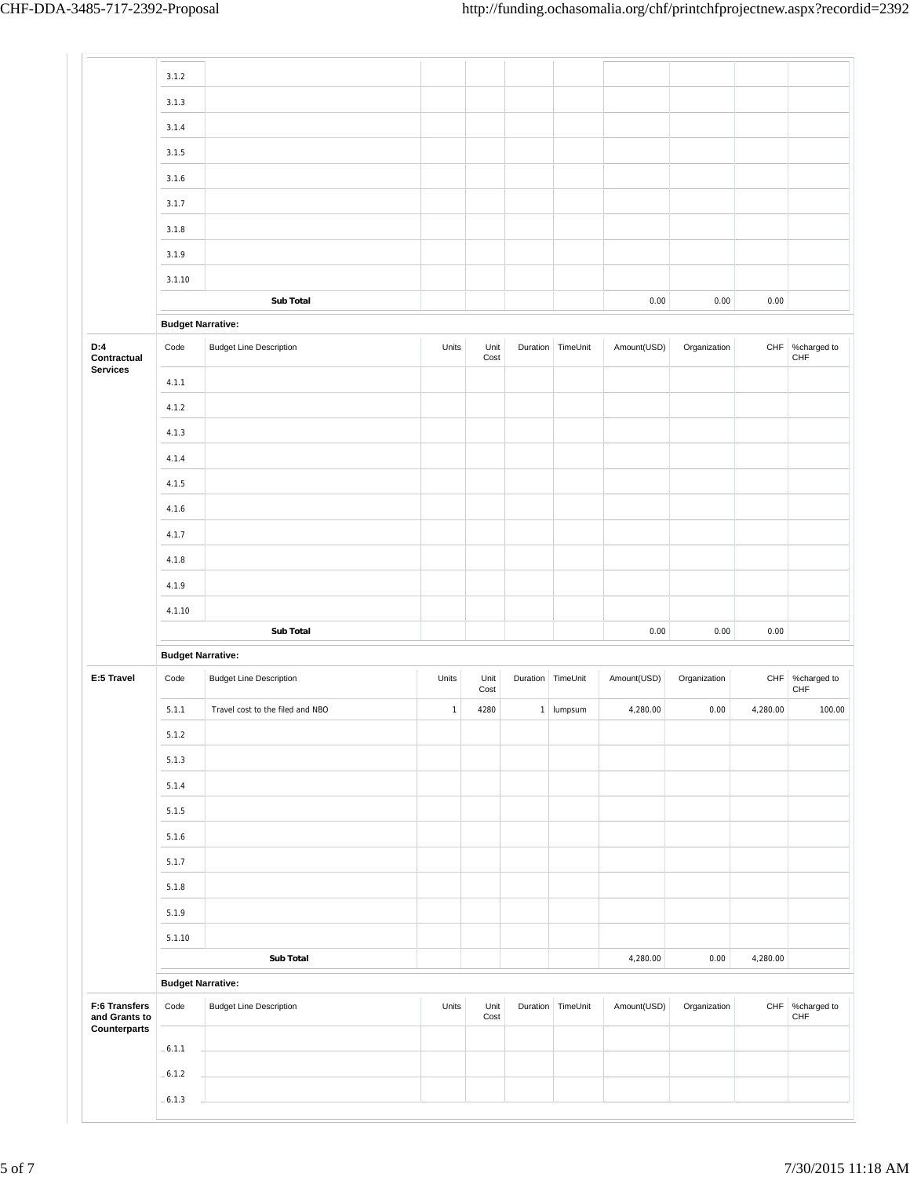|                                                | 3.1.2                    |                                  |              |              |          |                   |             |              |             |                                |
|------------------------------------------------|--------------------------|----------------------------------|--------------|--------------|----------|-------------------|-------------|--------------|-------------|--------------------------------|
|                                                | 3.1.3                    |                                  |              |              |          |                   |             |              |             |                                |
|                                                | 3.1.4                    |                                  |              |              |          |                   |             |              |             |                                |
|                                                | 3.1.5                    |                                  |              |              |          |                   |             |              |             |                                |
|                                                | 3.1.6                    |                                  |              |              |          |                   |             |              |             |                                |
|                                                | 3.1.7                    |                                  |              |              |          |                   |             |              |             |                                |
|                                                | 3.1.8                    |                                  |              |              |          |                   |             |              |             |                                |
|                                                | 3.1.9                    |                                  |              |              |          |                   |             |              |             |                                |
|                                                | 3.1.10                   |                                  |              |              |          |                   |             |              |             |                                |
|                                                |                          | Sub Total                        |              |              |          |                   | 0.00        | 0.00         | 0.00        |                                |
|                                                | <b>Budget Narrative:</b> |                                  |              |              |          |                   |             |              |             |                                |
| D:4<br>Contractual                             | Code                     | <b>Budget Line Description</b>   | Units        | Unit<br>Cost |          | Duration TimeUnit | Amount(USD) | Organization | ${\sf CHF}$ | %charged to<br>CHF             |
| <b>Services</b>                                | 4.1.1                    |                                  |              |              |          |                   |             |              |             |                                |
|                                                | 4.1.2                    |                                  |              |              |          |                   |             |              |             |                                |
|                                                | 4.1.3                    |                                  |              |              |          |                   |             |              |             |                                |
|                                                | 4.1.4                    |                                  |              |              |          |                   |             |              |             |                                |
|                                                | 4.1.5                    |                                  |              |              |          |                   |             |              |             |                                |
|                                                | 4.1.6                    |                                  |              |              |          |                   |             |              |             |                                |
|                                                | 4.1.7                    |                                  |              |              |          |                   |             |              |             |                                |
|                                                | 4.1.8                    |                                  |              |              |          |                   |             |              |             |                                |
|                                                | 4.1.9                    |                                  |              |              |          |                   |             |              |             |                                |
|                                                | 4.1.10                   |                                  |              |              |          |                   |             |              |             |                                |
|                                                |                          | Sub Total                        |              |              |          |                   | 0.00        | 0.00         | 0.00        |                                |
|                                                | <b>Budget Narrative:</b> |                                  |              |              |          |                   |             |              |             |                                |
| E:5 Travel                                     | Code                     | <b>Budget Line Description</b>   | Units        | Unit<br>Cost | Duration | TimeUnit          | Amount(USD) | Organization |             | CHF %charged to<br>${\sf CHF}$ |
|                                                | 5.1.1                    | Travel cost to the filed and NBO | $\mathbf{1}$ | 4280         |          | 1 lumpsum         | 4,280.00    | 0.00         | 4,280.00    | 100.00                         |
|                                                | 5.1.2                    |                                  |              |              |          |                   |             |              |             |                                |
|                                                | 5.1.3                    |                                  |              |              |          |                   |             |              |             |                                |
|                                                | 5.1.4                    |                                  |              |              |          |                   |             |              |             |                                |
|                                                | 5.1.5                    |                                  |              |              |          |                   |             |              |             |                                |
|                                                | 5.1.6                    |                                  |              |              |          |                   |             |              |             |                                |
|                                                | 5.1.7                    |                                  |              |              |          |                   |             |              |             |                                |
|                                                | 5.1.8                    |                                  |              |              |          |                   |             |              |             |                                |
|                                                | 5.1.9                    |                                  |              |              |          |                   |             |              |             |                                |
|                                                | 5.1.10                   |                                  |              |              |          |                   |             |              |             |                                |
|                                                |                          | <b>Sub Total</b>                 |              |              |          |                   | 4,280.00    | 0.00         | 4,280.00    |                                |
|                                                | <b>Budget Narrative:</b> |                                  |              |              |          |                   |             |              |             |                                |
| F:6 Transfers<br>and Grants to<br>Counterparts | Code                     | <b>Budget Line Description</b>   | Units        | Unit<br>Cost |          | Duration TimeUnit | Amount(USD) | Organization | CHF         | %charged to<br>CHF             |
|                                                | $-6.1.1$                 |                                  |              |              |          |                   |             |              |             |                                |
|                                                | $-6.1.2$                 |                                  |              |              |          |                   |             |              |             |                                |
|                                                | $-6.1.3$                 |                                  |              |              |          |                   |             |              |             |                                |
|                                                |                          |                                  |              |              |          |                   |             |              |             |                                |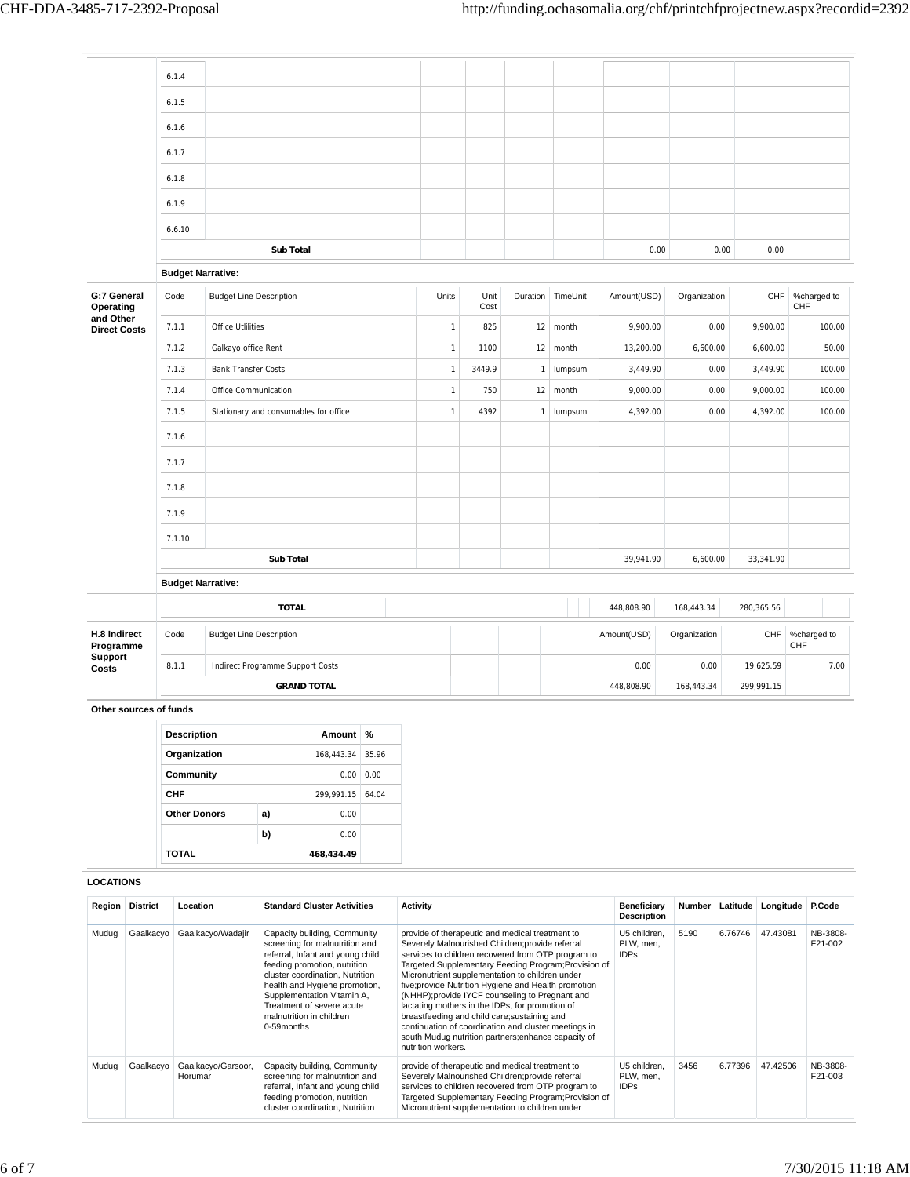$\vert$  -

|                                  |                 | 6.1.4      |                                                                                                                                                                                                                                                                                                                                  |                                |    |                                       |               |                                                                                                                                                                                                                                                                                                                                                                                                                                                                                                                                                                                                                       |              |  |              |                     |                                          |                                          |              |              |          |                     |                    |
|----------------------------------|-----------------|------------|----------------------------------------------------------------------------------------------------------------------------------------------------------------------------------------------------------------------------------------------------------------------------------------------------------------------------------|--------------------------------|----|---------------------------------------|---------------|-----------------------------------------------------------------------------------------------------------------------------------------------------------------------------------------------------------------------------------------------------------------------------------------------------------------------------------------------------------------------------------------------------------------------------------------------------------------------------------------------------------------------------------------------------------------------------------------------------------------------|--------------|--|--------------|---------------------|------------------------------------------|------------------------------------------|--------------|--------------|----------|---------------------|--------------------|
|                                  |                 | 6.1.5      |                                                                                                                                                                                                                                                                                                                                  |                                |    |                                       |               |                                                                                                                                                                                                                                                                                                                                                                                                                                                                                                                                                                                                                       |              |  |              |                     |                                          |                                          |              |              |          |                     |                    |
|                                  |                 | 6.1.6      |                                                                                                                                                                                                                                                                                                                                  |                                |    |                                       |               |                                                                                                                                                                                                                                                                                                                                                                                                                                                                                                                                                                                                                       |              |  |              |                     |                                          |                                          |              |              |          |                     |                    |
|                                  |                 | 6.1.7      |                                                                                                                                                                                                                                                                                                                                  |                                |    |                                       |               |                                                                                                                                                                                                                                                                                                                                                                                                                                                                                                                                                                                                                       |              |  |              |                     |                                          |                                          |              |              |          |                     |                    |
|                                  |                 | 6.1.8      |                                                                                                                                                                                                                                                                                                                                  |                                |    |                                       |               |                                                                                                                                                                                                                                                                                                                                                                                                                                                                                                                                                                                                                       |              |  |              |                     |                                          |                                          |              |              |          |                     |                    |
|                                  |                 | 6.1.9      |                                                                                                                                                                                                                                                                                                                                  |                                |    |                                       |               |                                                                                                                                                                                                                                                                                                                                                                                                                                                                                                                                                                                                                       |              |  |              |                     |                                          |                                          |              |              |          |                     |                    |
|                                  |                 | 6.6.10     |                                                                                                                                                                                                                                                                                                                                  |                                |    |                                       |               |                                                                                                                                                                                                                                                                                                                                                                                                                                                                                                                                                                                                                       |              |  |              |                     |                                          |                                          |              |              |          |                     |                    |
|                                  |                 |            |                                                                                                                                                                                                                                                                                                                                  |                                |    | <b>Sub Total</b>                      |               |                                                                                                                                                                                                                                                                                                                                                                                                                                                                                                                                                                                                                       |              |  |              |                     |                                          | 0.00                                     |              |              | 0.00     | 0.00                |                    |
|                                  |                 |            |                                                                                                                                                                                                                                                                                                                                  | <b>Budget Narrative:</b>       |    |                                       |               |                                                                                                                                                                                                                                                                                                                                                                                                                                                                                                                                                                                                                       |              |  |              |                     |                                          |                                          |              |              |          |                     |                    |
| G:7 General<br>Operating         |                 | Code       |                                                                                                                                                                                                                                                                                                                                  | <b>Budget Line Description</b> |    |                                       |               | Units                                                                                                                                                                                                                                                                                                                                                                                                                                                                                                                                                                                                                 | Unit<br>Cost |  |              | Duration   TimeUnit |                                          | Amount(USD)                              |              | Organization |          | CHF                 | %charged to<br>CHF |
| and Other<br><b>Direct Costs</b> |                 | 7.1.1      |                                                                                                                                                                                                                                                                                                                                  | <b>Office Utlilities</b>       |    |                                       |               | $\mathbf{1}$                                                                                                                                                                                                                                                                                                                                                                                                                                                                                                                                                                                                          | 825          |  | 12           | month               |                                          | 9,900.00                                 |              |              | 0.00     | 9,900.00            | 100.00             |
|                                  |                 | 7.1.2      |                                                                                                                                                                                                                                                                                                                                  | Galkayo office Rent            |    |                                       |               | $\mathbf{1}$                                                                                                                                                                                                                                                                                                                                                                                                                                                                                                                                                                                                          | 1100         |  | 12           | month               |                                          | 13,200.00                                |              | 6,600.00     |          | 6,600.00            | 50.00              |
|                                  |                 | 7.1.3      |                                                                                                                                                                                                                                                                                                                                  | <b>Bank Transfer Costs</b>     |    |                                       |               | $\mathbf{1}$                                                                                                                                                                                                                                                                                                                                                                                                                                                                                                                                                                                                          | 3449.9       |  | $\mathbf{1}$ | lumpsum             |                                          | 3,449.90                                 |              |              | 0.00     | 3,449.90            | 100.00             |
|                                  |                 | 7.1.4      |                                                                                                                                                                                                                                                                                                                                  | Office Communication           |    |                                       |               | $\mathbf{1}$                                                                                                                                                                                                                                                                                                                                                                                                                                                                                                                                                                                                          | 750          |  | 12           | month               |                                          | 9,000.00                                 |              |              | 0.00     | 9,000.00            | 100.00             |
|                                  |                 | 7.1.5      |                                                                                                                                                                                                                                                                                                                                  |                                |    | Stationary and consumables for office |               | $\overline{1}$                                                                                                                                                                                                                                                                                                                                                                                                                                                                                                                                                                                                        | 4392         |  | $\mathbf{1}$ | lumpsum             |                                          | 4,392.00                                 |              |              | 0.00     | 4,392.00            | 100.00             |
|                                  |                 | 7.1.6      |                                                                                                                                                                                                                                                                                                                                  |                                |    |                                       |               |                                                                                                                                                                                                                                                                                                                                                                                                                                                                                                                                                                                                                       |              |  |              |                     |                                          |                                          |              |              |          |                     |                    |
|                                  |                 | 7.1.7      |                                                                                                                                                                                                                                                                                                                                  |                                |    |                                       |               |                                                                                                                                                                                                                                                                                                                                                                                                                                                                                                                                                                                                                       |              |  |              |                     |                                          |                                          |              |              |          |                     |                    |
|                                  |                 | 7.1.8      |                                                                                                                                                                                                                                                                                                                                  |                                |    |                                       |               |                                                                                                                                                                                                                                                                                                                                                                                                                                                                                                                                                                                                                       |              |  |              |                     |                                          |                                          |              |              |          |                     |                    |
|                                  |                 | 7.1.9      |                                                                                                                                                                                                                                                                                                                                  |                                |    |                                       |               |                                                                                                                                                                                                                                                                                                                                                                                                                                                                                                                                                                                                                       |              |  |              |                     |                                          |                                          |              |              |          |                     |                    |
|                                  |                 | 7.1.10     |                                                                                                                                                                                                                                                                                                                                  |                                |    |                                       |               |                                                                                                                                                                                                                                                                                                                                                                                                                                                                                                                                                                                                                       |              |  |              |                     |                                          |                                          |              |              |          |                     |                    |
|                                  |                 |            |                                                                                                                                                                                                                                                                                                                                  |                                |    | <b>Sub Total</b>                      |               |                                                                                                                                                                                                                                                                                                                                                                                                                                                                                                                                                                                                                       |              |  |              |                     |                                          | 39,941.90                                |              | 6,600.00     |          | 33,341.90           |                    |
|                                  |                 |            |                                                                                                                                                                                                                                                                                                                                  | <b>Budget Narrative:</b>       |    |                                       |               |                                                                                                                                                                                                                                                                                                                                                                                                                                                                                                                                                                                                                       |              |  |              |                     |                                          |                                          |              |              |          |                     |                    |
|                                  |                 |            |                                                                                                                                                                                                                                                                                                                                  |                                |    | <b>TOTAL</b>                          |               |                                                                                                                                                                                                                                                                                                                                                                                                                                                                                                                                                                                                                       |              |  |              |                     |                                          | 448,808.90                               |              | 168,443.34   |          | 280,365.56          |                    |
| H.8 Indirect<br>Programme        |                 | Code       |                                                                                                                                                                                                                                                                                                                                  | <b>Budget Line Description</b> |    |                                       |               |                                                                                                                                                                                                                                                                                                                                                                                                                                                                                                                                                                                                                       |              |  |              |                     |                                          | Amount(USD)                              | Organization |              |          | CHF                 | %charged to<br>CHF |
| <b>Support</b><br>Costs          |                 | 8.1.1      |                                                                                                                                                                                                                                                                                                                                  |                                |    | Indirect Programme Support Costs      |               |                                                                                                                                                                                                                                                                                                                                                                                                                                                                                                                                                                                                                       |              |  |              |                     |                                          | 0.00                                     |              | 0.00         |          | 19,625.59           | 7.00               |
|                                  |                 |            |                                                                                                                                                                                                                                                                                                                                  |                                |    | <b>GRAND TOTAL</b>                    |               |                                                                                                                                                                                                                                                                                                                                                                                                                                                                                                                                                                                                                       |              |  |              |                     |                                          | 448,808.90                               |              | 168,443.34   |          | 299,991.15          |                    |
| Other sources of funds           |                 |            |                                                                                                                                                                                                                                                                                                                                  |                                |    |                                       |               |                                                                                                                                                                                                                                                                                                                                                                                                                                                                                                                                                                                                                       |              |  |              |                     |                                          |                                          |              |              |          |                     |                    |
|                                  |                 |            | <b>Description</b>                                                                                                                                                                                                                                                                                                               |                                |    | Amount   %                            |               |                                                                                                                                                                                                                                                                                                                                                                                                                                                                                                                                                                                                                       |              |  |              |                     |                                          |                                          |              |              |          |                     |                    |
|                                  |                 |            | Organization                                                                                                                                                                                                                                                                                                                     |                                |    | 168,443.34                            | 35.96         |                                                                                                                                                                                                                                                                                                                                                                                                                                                                                                                                                                                                                       |              |  |              |                     |                                          |                                          |              |              |          |                     |                    |
|                                  |                 | <b>CHF</b> | Community                                                                                                                                                                                                                                                                                                                        |                                |    | 0.00<br>299,991.15                    | 0.00<br>64.04 |                                                                                                                                                                                                                                                                                                                                                                                                                                                                                                                                                                                                                       |              |  |              |                     |                                          |                                          |              |              |          |                     |                    |
|                                  |                 |            | <b>Other Donors</b>                                                                                                                                                                                                                                                                                                              |                                | a) | 0.00                                  |               |                                                                                                                                                                                                                                                                                                                                                                                                                                                                                                                                                                                                                       |              |  |              |                     |                                          |                                          |              |              |          |                     |                    |
|                                  |                 |            |                                                                                                                                                                                                                                                                                                                                  |                                | b) | 0.00                                  |               |                                                                                                                                                                                                                                                                                                                                                                                                                                                                                                                                                                                                                       |              |  |              |                     |                                          |                                          |              |              |          |                     |                    |
|                                  |                 |            | <b>TOTAL</b>                                                                                                                                                                                                                                                                                                                     |                                |    | 468,434.49                            |               |                                                                                                                                                                                                                                                                                                                                                                                                                                                                                                                                                                                                                       |              |  |              |                     |                                          |                                          |              |              |          |                     |                    |
| <b>LOCATIONS</b>                 |                 |            |                                                                                                                                                                                                                                                                                                                                  |                                |    |                                       |               |                                                                                                                                                                                                                                                                                                                                                                                                                                                                                                                                                                                                                       |              |  |              |                     |                                          |                                          |              |              |          |                     |                    |
| <b>Region</b>                    | <b>District</b> |            | Location                                                                                                                                                                                                                                                                                                                         |                                |    | <b>Standard Cluster Activities</b>    |               | <b>Activity</b>                                                                                                                                                                                                                                                                                                                                                                                                                                                                                                                                                                                                       |              |  |              |                     |                                          | <b>Beneficiary</b><br><b>Description</b> |              | Number       | Latitude | Longitude           | P.Code             |
| Mudug                            | Gaalkacyo       |            | Gaalkacyo/Wadajir<br>Capacity building, Community<br>screening for malnutrition and<br>referral, Infant and young child<br>feeding promotion, nutrition<br>cluster coordination, Nutrition<br>health and Hygiene promotion,<br>Supplementation Vitamin A,<br>Treatment of severe acute<br>malnutrition in children<br>0-59months |                                |    |                                       |               | provide of therapeutic and medical treatment to<br>Severely Malnourished Children; provide referral<br>services to children recovered from OTP program to<br>Targeted Supplementary Feeding Program; Provision of<br>Micronutrient supplementation to children under<br>five;provide Nutrition Hygiene and Health promotion<br>(NHHP);provide IYCF counseling to Pregnant and<br>lactating mothers in the IDPs, for promotion of<br>breastfeeding and child care; sustaining and<br>continuation of coordination and cluster meetings in<br>south Mudug nutrition partners; enhance capacity of<br>nutrition workers. |              |  |              |                     | U5 children,<br>PLW, men,<br><b>IDPs</b> | 5190                                     |              | 6.76746      | 47.43081 | NB-3808-<br>F21-002 |                    |
| Mudug                            | Gaalkacyo       |            | Gaalkacyo/Garsoor,<br>Capacity building, Community<br>screening for malnutrition and<br>Horumar<br>referral, Infant and young child<br>feeding promotion, nutrition<br>cluster coordination, Nutrition                                                                                                                           |                                |    |                                       |               | provide of therapeutic and medical treatment to<br>Severely Malnourished Children;provide referral<br>services to children recovered from OTP program to<br>Targeted Supplementary Feeding Program; Provision of<br>Micronutrient supplementation to children under                                                                                                                                                                                                                                                                                                                                                   |              |  |              |                     | U5 children,<br>PLW, men,<br><b>IDPs</b> | 3456                                     |              | 6.77396      | 47.42506 | NB-3808-<br>F21-003 |                    |